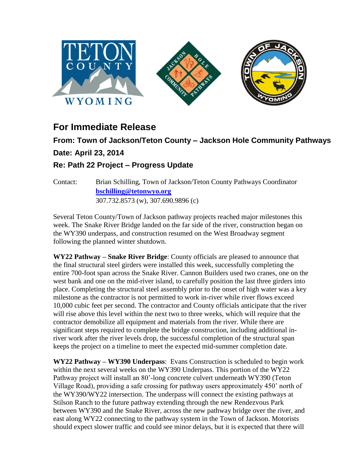

## **For Immediate Release**

## **From: Town of Jackson/Teton County – Jackson Hole Community Pathways Date: April 23, 2014**

## **Re: Path 22 Project – Progress Update**

Contact: Brian Schilling, Town of Jackson/Teton County Pathways Coordinator **[bschilling@tetonwyo.org](mailto:bschilling@tetonwyo.org)** 307.732.8573 (w), 307.690.9896 (c)

Several Teton County/Town of Jackson pathway projects reached major milestones this week. The Snake River Bridge landed on the far side of the river, construction began on the WY390 underpass, and construction resumed on the West Broadway segment following the planned winter shutdown.

**WY22 Pathway – Snake River Bridge**: County officials are pleased to announce that the final structural steel girders were installed this week, successfully completing the entire 700-foot span across the Snake River. Cannon Builders used two cranes, one on the west bank and one on the mid-river island, to carefully position the last three girders into place. Completing the structural steel assembly prior to the onset of high water was a key milestone as the contractor is not permitted to work in-river while river flows exceed 10,000 cubic feet per second. The contractor and County officials anticipate that the river will rise above this level within the next two to three weeks, which will require that the contractor demobilize all equipment and materials from the river. While there are significant steps required to complete the bridge construction, including additional inriver work after the river levels drop, the successful completion of the structural span keeps the project on a timeline to meet the expected mid-summer completion date.

**WY22 Pathway – WY390 Underpass**: Evans Construction is scheduled to begin work within the next several weeks on the WY390 Underpass. This portion of the WY22 Pathway project will install an 80'-long concrete culvert underneath WY390 (Teton Village Road), providing a safe crossing for pathway users approximately 450' north of the WY390/WY22 intersection. The underpass will connect the existing pathways at Stilson Ranch to the future pathway extending through the new Rendezvous Park between WY390 and the Snake River, across the new pathway bridge over the river, and east along WY22 connecting to the pathway system in the Town of Jackson. Motorists should expect slower traffic and could see minor delays, but it is expected that there will